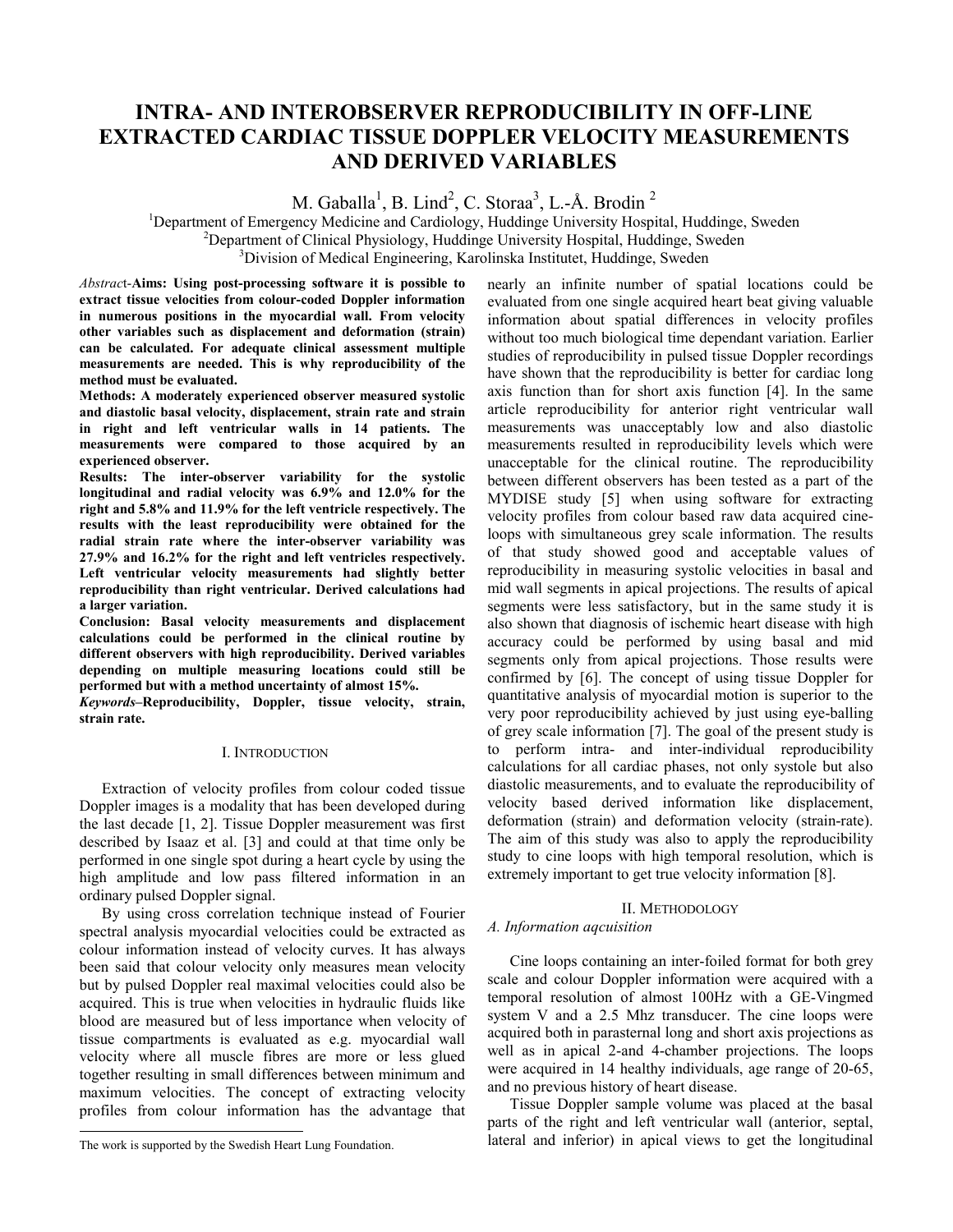# **INTRA- AND INTEROBSERVER REPRODUCIBILITY IN OFF-LINE EXTRACTED CARDIAC TISSUE DOPPLER VELOCITY MEASUREMENTS AND DERIVED VARIABLES**

M. Gaballa<sup>1</sup>, B. Lind<sup>2</sup>, C. Storaa<sup>3</sup>, L.-Å. Brodin<sup>2</sup>

<sup>1</sup>Department of Emergency Medicine and Cardiology, Huddinge University Hospital, Huddinge, Sweden <sup>2</sup>Department of Clinical Bhusiology, Huddinge University Hospital, Huddinge, Sweden <sup>2</sup>Department of Clinical Physiology, Huddinge University Hospital, Huddinge, Sweden <sup>3</sup>Division of Medical Engineering, Karolinska Institutet, Huddinge, Sweden

*Abstrac*t-**Aims: Using post-processing software it is possible to extract tissue velocities from colour-coded Doppler information in numerous positions in the myocardial wall. From velocity other variables such as displacement and deformation (strain) can be calculated. For adequate clinical assessment multiple measurements are needed. This is why reproducibility of the method must be evaluated.** 

**Methods: A moderately experienced observer measured systolic and diastolic basal velocity, displacement, strain rate and strain in right and left ventricular walls in 14 patients. The measurements were compared to those acquired by an experienced observer.** 

**Results: The inter-observer variability for the systolic longitudinal and radial velocity was 6.9% and 12.0% for the right and 5.8% and 11.9% for the left ventricle respectively. The results with the least reproducibility were obtained for the radial strain rate where the inter-observer variability was 27.9% and 16.2% for the right and left ventricles respectively. Left ventricular velocity measurements had slightly better reproducibility than right ventricular. Derived calculations had a larger variation.** 

**Conclusion: Basal velocity measurements and displacement calculations could be performed in the clinical routine by different observers with high reproducibility. Derived variables depending on multiple measuring locations could still be performed but with a method uncertainty of almost 15%.1**

*Keywords*–Reproducibility, Doppler, tissue velocity, strain, **strain rate.** 

# I. INTRODUCTION

Extraction of velocity profiles from colour coded tissue Doppler images is a modality that has been developed during the last decade [1, 2]. Tissue Doppler measurement was first described by Isaaz et al. [3] and could at that time only be performed in one single spot during a heart cycle by using the high amplitude and low pass filtered information in an ordinary pulsed Doppler signal.

By using cross correlation technique instead of Fourier spectral analysis myocardial velocities could be extracted as colour information instead of velocity curves. It has always been said that colour velocity only measures mean velocity but by pulsed Doppler real maximal velocities could also be acquired. This is true when velocities in hydraulic fluids like blood are measured but of less importance when velocity of tissue compartments is evaluated as e.g. myocardial wall velocity where all muscle fibres are more or less glued together resulting in small differences between minimum and maximum velocities. The concept of extracting velocity profiles from colour information has the advantage that

 $\overline{a}$ 

nearly an infinite number of spatial locations could be evaluated from one single acquired heart beat giving valuable information about spatial differences in velocity profiles without too much biological time dependant variation. Earlier studies of reproducibility in pulsed tissue Doppler recordings have shown that the reproducibility is better for cardiac long axis function than for short axis function [4]. In the same article reproducibility for anterior right ventricular wall measurements was unacceptably low and also diastolic measurements resulted in reproducibility levels which were unacceptable for the clinical routine. The reproducibility between different observers has been tested as a part of the MYDISE study [5] when using software for extracting velocity profiles from colour based raw data acquired cineloops with simultaneous grey scale information. The results of that study showed good and acceptable values of reproducibility in measuring systolic velocities in basal and mid wall segments in apical projections. The results of apical segments were less satisfactory, but in the same study it is also shown that diagnosis of ischemic heart disease with high accuracy could be performed by using basal and mid segments only from apical projections. Those results were confirmed by [6]. The concept of using tissue Doppler for quantitative analysis of myocardial motion is superior to the very poor reproducibility achieved by just using eye-balling of grey scale information [7]. The goal of the present study is to perform intra- and inter-individual reproducibility calculations for all cardiac phases, not only systole but also diastolic measurements, and to evaluate the reproducibility of velocity based derived information like displacement, deformation (strain) and deformation velocity (strain-rate). The aim of this study was also to apply the reproducibility study to cine loops with high temporal resolution, which is extremely important to get true velocity information [8].

# II. METHODOLOGY

## *A. Information aqcuisition*

Cine loops containing an inter-foiled format for both grey scale and colour Doppler information were acquired with a temporal resolution of almost 100Hz with a GE-Vingmed system V and a 2.5 Mhz transducer. The cine loops were acquired both in parasternal long and short axis projections as well as in apical 2-and 4-chamber projections. The loops were acquired in 14 healthy individuals, age range of 20-65, and no previous history of heart disease.

Tissue Doppler sample volume was placed at the basal parts of the right and left ventricular wall (anterior, septal, lateral and inferior) in apical views to get the longitudinal

The work is supported by the Swedish Heart Lung Foundation.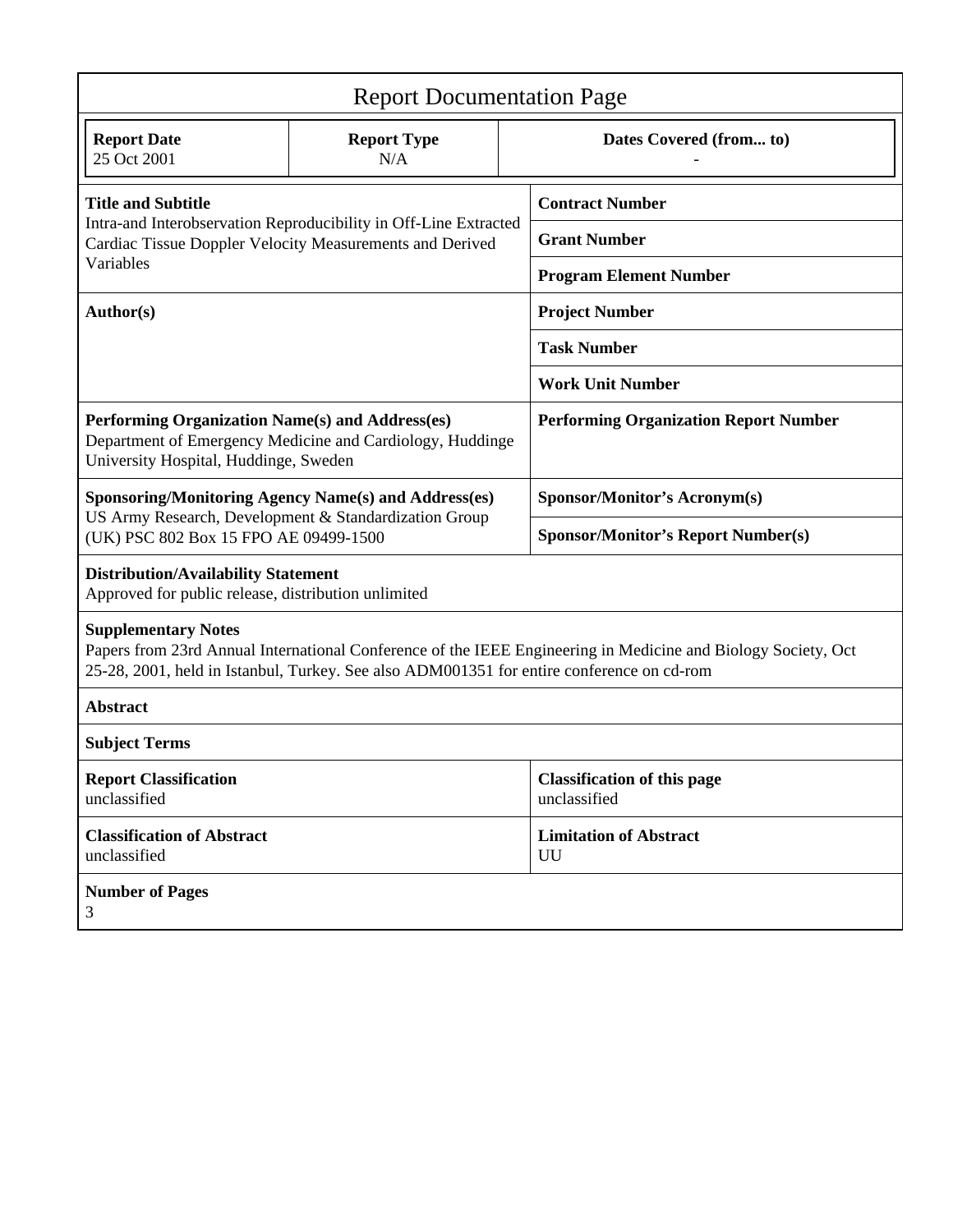| <b>Report Documentation Page</b>                                                                                                                                                                                                         |                                                           |                                              |                                                    |  |  |  |  |  |  |
|------------------------------------------------------------------------------------------------------------------------------------------------------------------------------------------------------------------------------------------|-----------------------------------------------------------|----------------------------------------------|----------------------------------------------------|--|--|--|--|--|--|
| <b>Report Date</b><br>25 Oct 2001                                                                                                                                                                                                        | <b>Report Type</b><br>N/A                                 |                                              | Dates Covered (from to)                            |  |  |  |  |  |  |
| <b>Title and Subtitle</b>                                                                                                                                                                                                                |                                                           | <b>Contract Number</b>                       |                                                    |  |  |  |  |  |  |
| Intra-and Interobservation Reproducibility in Off-Line Extracted<br>Cardiac Tissue Doppler Velocity Measurements and Derived                                                                                                             |                                                           |                                              | <b>Grant Number</b>                                |  |  |  |  |  |  |
| Variables                                                                                                                                                                                                                                |                                                           |                                              | <b>Program Element Number</b>                      |  |  |  |  |  |  |
| Author(s)                                                                                                                                                                                                                                |                                                           | <b>Project Number</b>                        |                                                    |  |  |  |  |  |  |
|                                                                                                                                                                                                                                          |                                                           | <b>Task Number</b>                           |                                                    |  |  |  |  |  |  |
|                                                                                                                                                                                                                                          |                                                           | <b>Work Unit Number</b>                      |                                                    |  |  |  |  |  |  |
| Performing Organization Name(s) and Address(es)<br>University Hospital, Huddinge, Sweden                                                                                                                                                 | Department of Emergency Medicine and Cardiology, Huddinge | <b>Performing Organization Report Number</b> |                                                    |  |  |  |  |  |  |
| <b>Sponsoring/Monitoring Agency Name(s) and Address(es)</b>                                                                                                                                                                              |                                                           |                                              | <b>Sponsor/Monitor's Acronym(s)</b>                |  |  |  |  |  |  |
| US Army Research, Development & Standardization Group<br>(UK) PSC 802 Box 15 FPO AE 09499-1500                                                                                                                                           |                                                           |                                              | <b>Sponsor/Monitor's Report Number(s)</b>          |  |  |  |  |  |  |
| <b>Distribution/Availability Statement</b><br>Approved for public release, distribution unlimited                                                                                                                                        |                                                           |                                              |                                                    |  |  |  |  |  |  |
| <b>Supplementary Notes</b><br>Papers from 23rd Annual International Conference of the IEEE Engineering in Medicine and Biology Society, Oct<br>25-28, 2001, held in Istanbul, Turkey. See also ADM001351 for entire conference on cd-rom |                                                           |                                              |                                                    |  |  |  |  |  |  |
| <b>Abstract</b>                                                                                                                                                                                                                          |                                                           |                                              |                                                    |  |  |  |  |  |  |
| <b>Subject Terms</b>                                                                                                                                                                                                                     |                                                           |                                              |                                                    |  |  |  |  |  |  |
| <b>Report Classification</b><br>unclassified                                                                                                                                                                                             |                                                           |                                              | <b>Classification of this page</b><br>unclassified |  |  |  |  |  |  |
| <b>Classification of Abstract</b><br>unclassified                                                                                                                                                                                        |                                                           |                                              | <b>Limitation of Abstract</b><br>UU                |  |  |  |  |  |  |
| <b>Number of Pages</b><br>3                                                                                                                                                                                                              |                                                           |                                              |                                                    |  |  |  |  |  |  |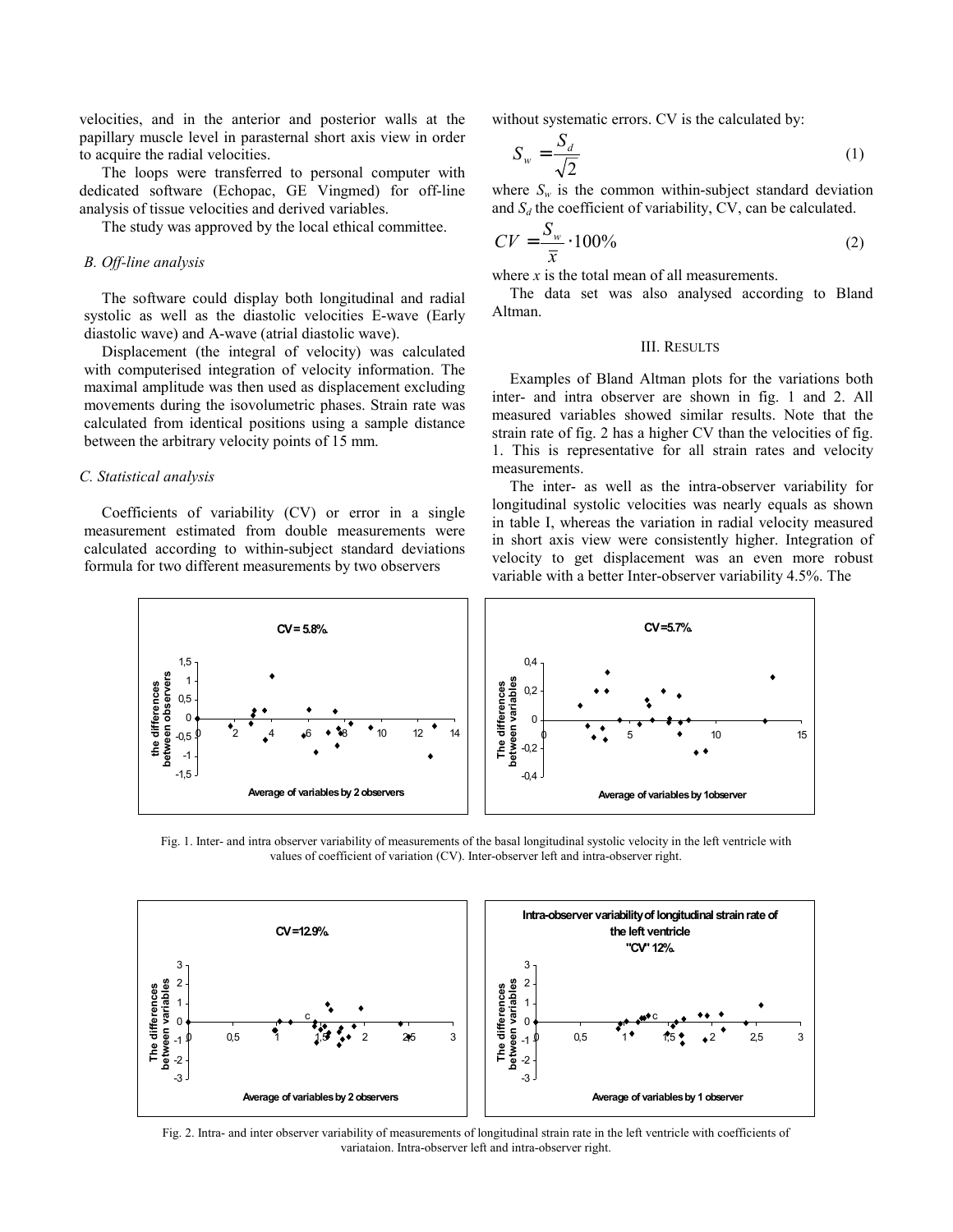velocities, and in the anterior and posterior walls at the papillary muscle level in parasternal short axis view in order to acquire the radial velocities.

The loops were transferred to personal computer with dedicated software (Echopac, GE Vingmed) for off-line analysis of tissue velocities and derived variables.

The study was approved by the local ethical committee.

#### *B. Off-line analysis*

The software could display both longitudinal and radial systolic as well as the diastolic velocities E-wave (Early diastolic wave) and A-wave (atrial diastolic wave).

Displacement (the integral of velocity) was calculated with computerised integration of velocity information. The maximal amplitude was then used as displacement excluding movements during the isovolumetric phases. Strain rate was calculated from identical positions using a sample distance between the arbitrary velocity points of 15 mm.

### *C. Statistical analysis*

Coefficients of variability (CV) or error in a single measurement estimated from double measurements were calculated according to within-subject standard deviations formula for two different measurements by two observers

without systematic errors. CV is the calculated by:

$$
S_w = \frac{S_d}{\sqrt{2}}\tag{1}
$$

where  $S_w$  is the common within-subject standard deviation and  $S_d$  the coefficient of variability, CV, can be calculated.

$$
CV = \frac{S_w}{\overline{x}} \cdot 100\% \tag{2}
$$

where  $x$  is the total mean of all measurements.

The data set was also analysed according to Bland Altman.

#### III. RESULTS

Examples of Bland Altman plots for the variations both inter- and intra observer are shown in fig. 1 and 2. All measured variables showed similar results. Note that the strain rate of fig. 2 has a higher CV than the velocities of fig. 1. This is representative for all strain rates and velocity measurements.

The inter- as well as the intra-observer variability for longitudinal systolic velocities was nearly equals as shown in table I, whereas the variation in radial velocity measured in short axis view were consistently higher. Integration of velocity to get displacement was an even more robust variable with a better Inter-observer variability 4.5%. The



Fig. 1. Inter- and intra observer variability of measurements of the basal longitudinal systolic velocity in the left ventricle with values of coefficient of variation (CV). Inter-observer left and intra-observer right.



Fig. 2. Intra- and inter observer variability of measurements of longitudinal strain rate in the left ventricle with coefficients of variataion. Intra-observer left and intra-observer right.